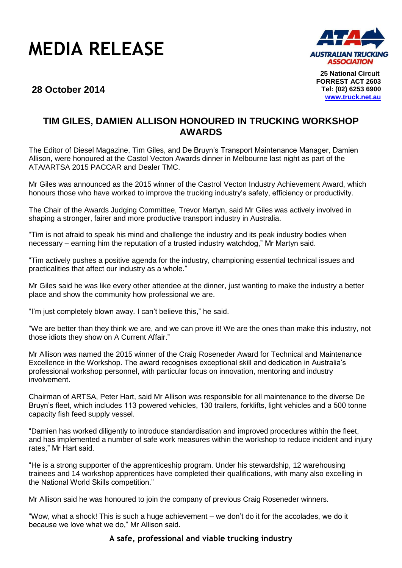



**25 National Circuit FORREST ACT 2603 Tel: (02) 6253 6900 [www.truck.net.au](http://www.truck.net.au/)**

## **28 October 2014**

## **TIM GILES, DAMIEN ALLISON HONOURED IN TRUCKING WORKSHOP AWARDS**

The Editor of Diesel Magazine, Tim Giles, and De Bruyn's Transport Maintenance Manager, Damien Allison, were honoured at the Castol Vecton Awards dinner in Melbourne last night as part of the ATA/ARTSA 2015 PACCAR and Dealer TMC.

Mr Giles was announced as the 2015 winner of the Castrol Vecton Industry Achievement Award, which honours those who have worked to improve the trucking industry's safety, efficiency or productivity.

The Chair of the Awards Judging Committee, Trevor Martyn, said Mr Giles was actively involved in shaping a stronger, fairer and more productive transport industry in Australia.

"Tim is not afraid to speak his mind and challenge the industry and its peak industry bodies when necessary – earning him the reputation of a trusted industry watchdog," Mr Martyn said.

"Tim actively pushes a positive agenda for the industry, championing essential technical issues and practicalities that affect our industry as a whole."

Mr Giles said he was like every other attendee at the dinner, just wanting to make the industry a better place and show the community how professional we are.

"I'm just completely blown away. I can't believe this," he said.

"We are better than they think we are, and we can prove it! We are the ones than make this industry, not those idiots they show on A Current Affair."

Mr Allison was named the 2015 winner of the Craig Roseneder Award for Technical and Maintenance Excellence in the Workshop. The award recognises exceptional skill and dedication in Australia's professional workshop personnel, with particular focus on innovation, mentoring and industry involvement.

Chairman of ARTSA, Peter Hart, said Mr Allison was responsible for all maintenance to the diverse De Bruyn's fleet, which includes 113 powered vehicles, 130 trailers, forklifts, light vehicles and a 500 tonne capacity fish feed supply vessel.

"Damien has worked diligently to introduce standardisation and improved procedures within the fleet, and has implemented a number of safe work measures within the workshop to reduce incident and injury rates," Mr Hart said.

"He is a strong supporter of the apprenticeship program. Under his stewardship, 12 warehousing trainees and 14 workshop apprentices have completed their qualifications, with many also excelling in the National World Skills competition."

Mr Allison said he was honoured to join the company of previous Craig Roseneder winners.

"Wow, what a shock! This is such a huge achievement – we don't do it for the accolades, we do it because we love what we do," Mr Allison said.

## **A safe, professional and viable trucking industry**